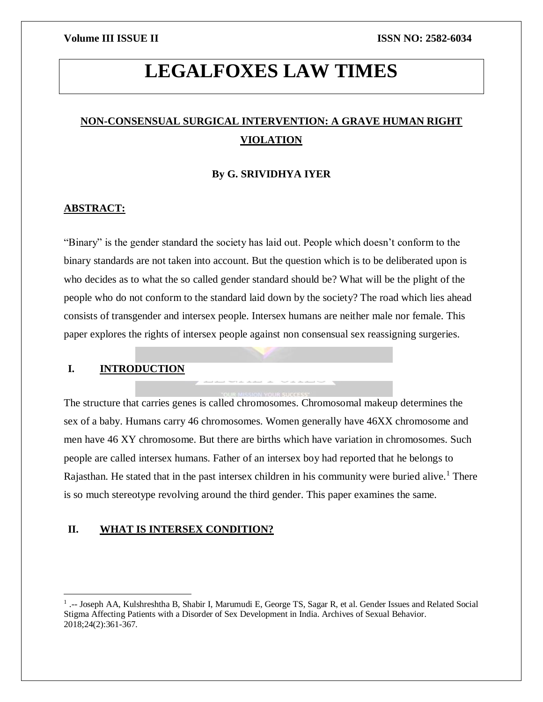# **LEGALFOXES LAW TIMES**

## **NON-CONSENSUAL SURGICAL INTERVENTION: A GRAVE HUMAN RIGHT VIOLATION**

### **By G. SRIVIDHYA IYER**

#### **ABSTRACT:**

"Binary" is the gender standard the society has laid out. People which doesn't conform to the binary standards are not taken into account. But the question which is to be deliberated upon is who decides as to what the so called gender standard should be? What will be the plight of the people who do not conform to the standard laid down by the society? The road which lies ahead consists of transgender and intersex people. Intersex humans are neither male nor female. This paper explores the rights of intersex people against non consensual sex reassigning surgeries.

### **I. INTRODUCTION**

 $\overline{\phantom{a}}$ 

The structure that carries genes is called chromosomes. Chromosomal makeup determines the sex of a baby. Humans carry 46 chromosomes. Women generally have 46XX chromosome and men have 46 XY chromosome. But there are births which have variation in chromosomes. Such people are called intersex humans. Father of an intersex boy had reported that he belongs to Rajasthan. He stated that in the past intersex children in his community were buried alive.<sup>1</sup> There is so much stereotype revolving around the third gender. This paper examines the same.

#### **II. WHAT IS INTERSEX CONDITION?**

<sup>&</sup>lt;sup>1</sup> .-- Joseph AA, Kulshreshtha B, Shabir I, Marumudi E, George TS, Sagar R, et al. Gender Issues and Related Social Stigma Affecting Patients with a Disorder of Sex Development in India. Archives of Sexual Behavior. 2018;24(2):361-367.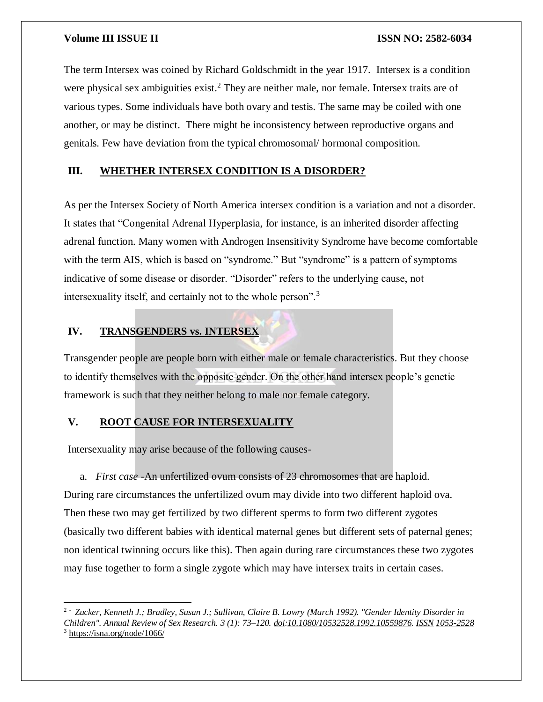The term Intersex was coined by Richard Goldschmidt in the year 1917. Intersex is a condition were physical sex ambiguities exist.<sup>2</sup> They are neither male, nor female. Intersex traits are of various types. Some individuals have both ovary and testis. The same may be coiled with one another, or may be distinct. There might be inconsistency between reproductive organs and genitals. Few have deviation from the typical chromosomal/ hormonal composition.

### **III. WHETHER INTERSEX CONDITION IS A DISORDER?**

As per the Intersex Society of North America intersex condition is a variation and not a disorder. It states that "Congenital Adrenal Hyperplasia, for instance, is an inherited disorder affecting adrenal function. Many women with Androgen Insensitivity Syndrome have become comfortable with the term AIS, which is based on "syndrome." But "syndrome" is a pattern of symptoms indicative of some disease or disorder. "Disorder" refers to the underlying cause, not intersexuality itself, and certainly not to the whole person".<sup>3</sup>

### **IV. TRANSGENDERS vs. INTERSEX**

Transgender people are people born with either male or female characteristics. But they choose to identify themselves with the opposite gender. On the other hand intersex people's genetic framework is such that they neither belong to male nor female category.

### **V. ROOT CAUSE FOR INTERSEXUALITY**

 $\overline{a}$ 

Intersexuality may arise because of the following causes-

a. *First case* -An unfertilized ovum consists of 23 chromosomes that are haploid. During rare circumstances the unfertilized ovum may divide into two different haploid ova. Then these two may get fertilized by two different sperms to form two different zygotes (basically two different babies with identical maternal genes but different sets of paternal genes; non identical twinning occurs like this). Then again during rare circumstances these two zygotes may fuse together to form a single zygote which may have intersex traits in certain cases.

<sup>2</sup> - *Zucker, Kenneth J.; Bradley, Susan J.; Sullivan, Claire B. Lowry (March 1992). "Gender Identity Disorder in Children". Annual Review of Sex Research. 3 (1): 73–120. [doi](https://en.wikipedia.org/wiki/Doi_(identifier)):[10.1080/10532528.1992.10559876](https://doi.org/10.1080%2F10532528.1992.10559876). [ISSN](https://en.wikipedia.org/wiki/ISSN_(identifier)) [1053-2528](https://www.worldcat.org/issn/1053-2528)* <sup>3</sup> <https://isna.org/node/1066/>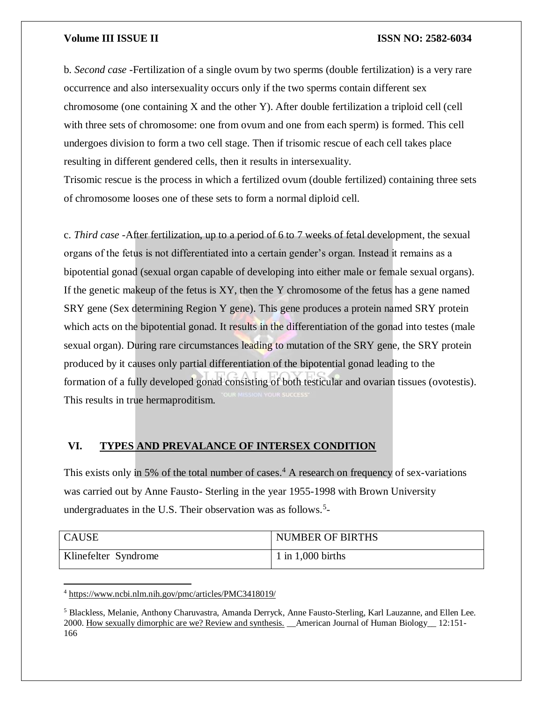b. *Second case* -Fertilization of a single ovum by two sperms (double fertilization) is a very rare occurrence and also intersexuality occurs only if the two sperms contain different sex chromosome (one containing X and the other Y). After double fertilization a triploid cell (cell with three sets of chromosome: one from ovum and one from each sperm) is formed. This cell undergoes division to form a two cell stage. Then if trisomic rescue of each cell takes place resulting in different gendered cells, then it results in intersexuality.

Trisomic rescue is the process in which a fertilized ovum (double fertilized) containing three sets of chromosome looses one of these sets to form a normal diploid cell.

c. *Third case* -After fertilization, up to a period of 6 to 7 weeks of fetal development, the sexual organs of the fetus is not differentiated into a certain gender's organ. Instead it remains as a bipotential gonad (sexual organ capable of developing into either male or female sexual organs). If the genetic makeup of the fetus is XY, then the Y chromosome of the fetus has a gene named SRY gene (Sex determining Region Y gene). This gene produces a protein named SRY protein which acts on the bipotential gonad. It results in the differentiation of the gonad into testes (male sexual organ). During rare circumstances leading to mutation of the SRY gene, the SRY protein produced by it causes only partial differentiation of the bipotential gonad leading to the formation of a fully developed gonad consisting of both testicular and ovarian tissues (ovotestis). This results in true hermaproditism.

### **VI. TYPES AND PREVALANCE OF INTERSEX CONDITION**

This exists only in 5% of the total number of cases.<sup>4</sup> A research on frequency of sex-variations was carried out by Anne Fausto- Sterling in the year 1955-1998 with Brown University undergraduates in the U.S. Their observation was as follows.<sup>5</sup>-

| CAUSE                | <b>NUMBER OF BIRTHS</b> |
|----------------------|-------------------------|
| Klinefelter Syndrome | $1$ in 1,000 births     |

<sup>4</sup> <https://www.ncbi.nlm.nih.gov/pmc/articles/PMC3418019/>

<sup>5</sup> Blackless, Melanie, Anthony Charuvastra, Amanda Derryck, Anne Fausto-Sterling, Karl Lauzanne, and Ellen Lee. 2000. [How sexually dimorphic are we? Review and synthesis.](http://bms.brown.edu/faculty/f/afs/dimorphic.pdf) \_\_American Journal of Human Biology\_\_ 12:151- 166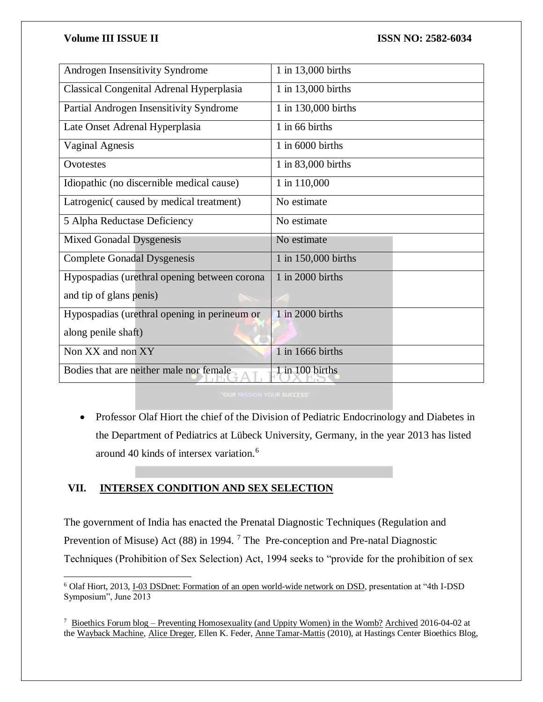| Androgen Insensitivity Syndrome                 | 1 in 13,000 births  |
|-------------------------------------------------|---------------------|
| <b>Classical Congenital Adrenal Hyperplasia</b> | 1 in 13,000 births  |
| Partial Androgen Insensitivity Syndrome         | 1 in 130,000 births |
| Late Onset Adrenal Hyperplasia                  | 1 in 66 births      |
| <b>Vaginal Agnesis</b>                          | $1$ in 6000 births  |
| Ovotestes                                       | 1 in 83,000 births  |
| Idiopathic (no discernible medical cause)       | 1 in 110,000        |
| Latrogenic(caused by medical treatment)         | No estimate         |
| 5 Alpha Reductase Deficiency                    | No estimate         |
| <b>Mixed Gonadal Dysgenesis</b>                 | No estimate         |
| <b>Complete Gonadal Dysgenesis</b>              | 1 in 150,000 births |
| Hypospadias (urethral opening between corona    | 1 in 2000 births    |
| and tip of glans penis)                         |                     |
| Hypospadias (urethral opening in perineum or    | 1 in 2000 births    |
| along penile shaft)                             |                     |
| Non XX and non XY                               | 1 in 1666 births    |
| Bodies that are neither male nor female         | 1 in 100 births     |

• Professor Olaf Hiort the chief of the Division of Pediatric Endocrinology and Diabetes in the Department of Pediatrics at Lübeck University, Germany, in the year 2013 has listed around 40 kinds of intersex variation.<sup>6</sup>

### **VII. INTERSEX CONDITION AND SEX SELECTION**

 $\overline{a}$ 

The government of India has enacted the Prenatal Diagnostic Techniques (Regulation and Prevention of Misuse) Act (88) in 1994.<sup>7</sup> The Pre-conception and Pre-natal Diagnostic Techniques (Prohibition of Sex Selection) Act, 1994 seeks to "provide for the prohibition of sex

<sup>&</sup>lt;sup>6</sup> Olaf Hiort, 2013, [I-03 DSDnet: Formation of an open world-wide network on DSD,](http://www.gla.ac.uk/media/media_279274_en.pdf) presentation at "4th I-DSD Symposium", June 2013

<sup>7</sup> Bioethics Forum blog – [Preventing Homosexuality \(and Uppity Women\) in the Womb?](http://www.thehastingscenter.org/Bioethicsforum/Post.aspx?id=4754) [Archived](https://web.archive.org/web/20160402051942/http:/www.thehastingscenter.org/Bioethicsforum/Post.aspx?id=4754) 2016-04-02 at the [Wayback Machine,](https://en.wikipedia.org/wiki/Wayback_Machine) [Alice Dreger,](https://en.wikipedia.org/wiki/Alice_Dreger) Ellen K. Feder, [Anne Tamar-Mattis](https://en.wikipedia.org/wiki/Anne_Tamar-Mattis) (2010), at Hastings Center Bioethics Blog,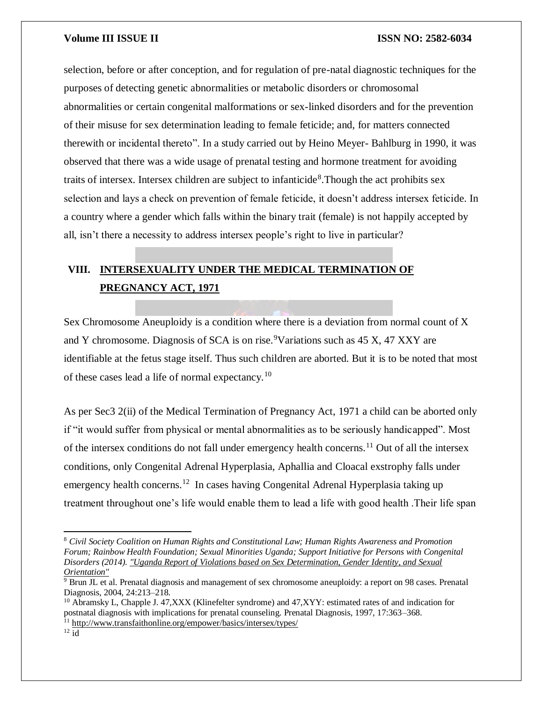selection, before or after conception, and for regulation of pre-natal diagnostic techniques for the purposes of detecting genetic abnormalities or metabolic disorders or chromosomal abnormalities or certain congenital malformations or sex-linked disorders and for the prevention of their misuse for sex determination leading to female feticide; and, for matters connected therewith or incidental thereto". In a study carried out by Heino Meyer- Bahlburg in 1990, it was observed that there was a wide usage of prenatal testing and hormone treatment for avoiding traits of intersex. Intersex children are subject to infanticide<sup>8</sup>. Though the act prohibits sex selection and lays a check on prevention of female feticide, it doesn't address intersex feticide. In a country where a gender which falls within the binary trait (female) is not happily accepted by all, isn't there a necessity to address intersex people's right to live in particular?

## **VIII. INTERSEXUALITY UNDER THE MEDICAL TERMINATION OF PREGNANCY ACT, 1971**

Sex Chromosome Aneuploidy is a condition where there is a deviation from normal count of X and Y chromosome. Diagnosis of SCA is on rise.<sup>9</sup>Variations such as  $45 X$ ,  $47 XXY$  are identifiable at the fetus stage itself. Thus such children are aborted. But it is to be noted that most of these cases lead a life of normal expectancy.<sup>10</sup>

As per Sec3 2(ii) of the Medical Termination of Pregnancy Act, 1971 a child can be aborted only if "it would suffer from physical or mental abnormalities as to be seriously handicapped". Most of the intersex conditions do not fall under emergency health concerns.<sup>11</sup> Out of all the intersex conditions, only Congenital Adrenal Hyperplasia, Aphallia and Cloacal exstrophy falls under emergency health concerns.<sup>12</sup> In cases having Congenital Adrenal Hyperplasia taking up treatment throughout one's life would enable them to lead a life with good health .Their life span

<sup>8</sup> *Civil Society Coalition on Human Rights and Constitutional Law; Human Rights Awareness and Promotion Forum; Rainbow Health Foundation; Sexual Minorities Uganda; Support Initiative for Persons with Congenital Disorders (2014). ["Uganda Report of Violations based on Sex Determination, Gender Identity, and Sexual](https://web.archive.org/web/20150503012642/http:/www.hrapf.org/publications/research-papers/uganda-report-violations-based-sex-determination-gender-identity-and)  [Orientation"](https://web.archive.org/web/20150503012642/http:/www.hrapf.org/publications/research-papers/uganda-report-violations-based-sex-determination-gender-identity-and)*

 $\frac{9}{9}$  Brun JL et al. Prenatal diagnosis and management of sex chromosome aneuploidy: a report on 98 cases. Prenatal Diagnosis, 2004, 24:213–218.

 $10$  Abramsky L, Chapple J. 47,XXX (Klinefelter syndrome) and 47,XYY: estimated rates of and indication for postnatal diagnosis with implications for prenatal counseling. Prenatal Diagnosis, 1997, 17:363–368.

<sup>11</sup> <http://www.transfaithonline.org/empower/basics/intersex/types/>

 $12$  id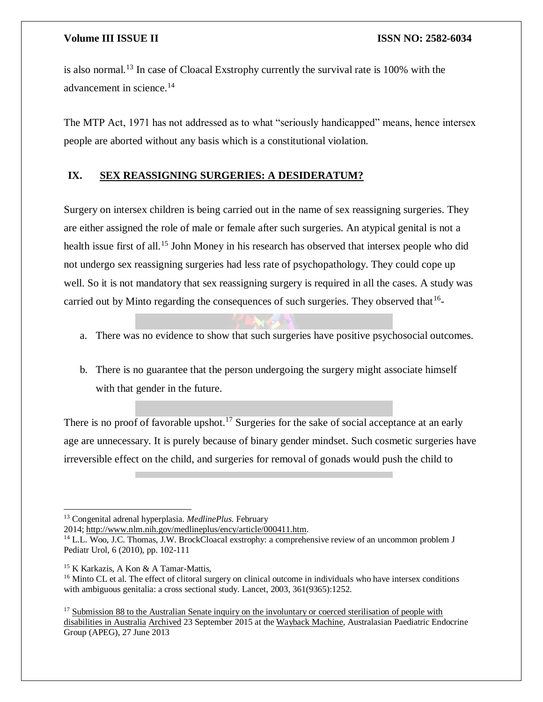is also normal.<sup>13</sup> In case of Cloacal Exstrophy currently the survival rate is 100% with the advancement in science.<sup>14</sup>

The MTP Act, 1971 has not addressed as to what "seriously handicapped" means, hence intersex people are aborted without any basis which is a constitutional violation.

### **IX. SEX REASSIGNING SURGERIES: A DESIDERATUM?**

Surgery on intersex children is being carried out in the name of sex reassigning surgeries. They are either assigned the role of male or female after such surgeries. An atypical genital is not a health issue first of all.<sup>15</sup> John Money in his research has observed that intersex people who did not undergo sex reassigning surgeries had less rate of psychopathology. They could cope up well. So it is not mandatory that sex reassigning surgery is required in all the cases. A study was carried out by Minto regarding the consequences of such surgeries. They observed that  $16$ -

- a. There was no evidence to show that such surgeries have positive psychosocial outcomes.
- b. There is no guarantee that the person undergoing the surgery might associate himself with that gender in the future.

There is no proof of favorable upshot.<sup>17</sup> Surgeries for the sake of social acceptance at an early age are unnecessary. It is purely because of binary gender mindset. Such cosmetic surgeries have irreversible effect on the child, and surgeries for removal of gonads would push the child to

<sup>13</sup> Congenital adrenal hyperplasia. *MedlinePlus*. February

<sup>2014;</sup> [http://www.nlm.nih.gov/medlineplus/ency/article/000411.htm.](http://www.nlm.nih.gov/medlineplus/ency/article/000411.htm)

<sup>14</sup> L.L. Woo, J.C. Thomas, J.W. BrockCloacal exstrophy: a comprehensive review of an uncommon problem J Pediatr Urol, 6 (2010), pp. 102-111

<sup>&</sup>lt;sup>15</sup> K Karkazis, A Kon & A Tamar-Mattis,

<sup>&</sup>lt;sup>16</sup> Minto CL et al. The effect of clitoral surgery on clinical outcome in individuals who have intersex conditions with ambiguous genitalia: a cross sectional study. Lancet, 2003, 361(9365):1252.

<sup>&</sup>lt;sup>17</sup> Submission 88 to the Australian Senate inquiry on the involuntary or coerced sterilisation of people with [disabilities in Australia](http://www.aph.gov.au/DocumentStore.ashx?id=aafe43f3-c6a2-4525-ad16-15e4210ee0ac&subId=16191) [Archived](https://web.archive.org/web/20150923174608/http:/www.aph.gov.au/DocumentStore.ashx?id=aafe43f3-c6a2-4525-ad16-15e4210ee0ac&subId=16191) 23 September 2015 at the [Wayback Machine,](https://en.wikipedia.org/wiki/Wayback_Machine) Australasian Paediatric Endocrine Group (APEG), 27 June 2013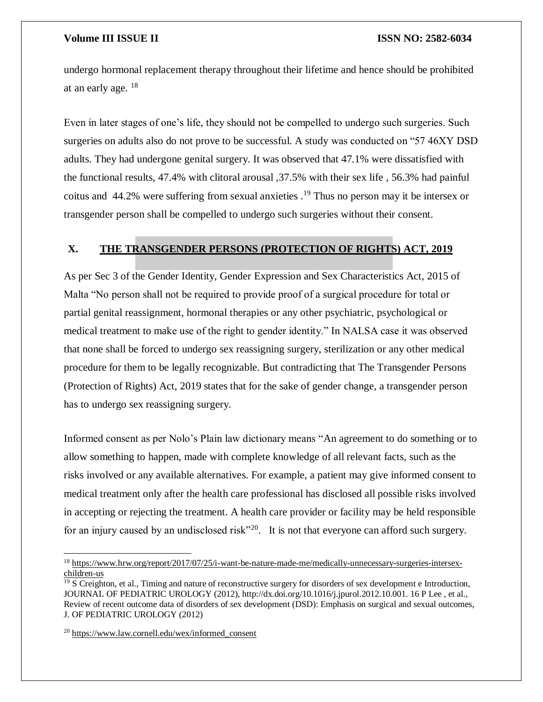undergo hormonal replacement therapy throughout their lifetime and hence should be prohibited at an early age. <sup>18</sup>

Even in later stages of one's life, they should not be compelled to undergo such surgeries. Such surgeries on adults also do not prove to be successful. A study was conducted on "57 46XY DSD adults. They had undergone genital surgery. It was observed that 47.1% were dissatisfied with the functional results, 47.4% with clitoral arousal ,37.5% with their sex life , 56.3% had painful coitus and 44.2% were suffering from sexual anxieties .<sup>19</sup> Thus no person may it be intersex or transgender person shall be compelled to undergo such surgeries without their consent.

#### **X. THE TRANSGENDER PERSONS (PROTECTION OF RIGHTS) ACT, 2019**

As per Sec 3 of the Gender Identity, Gender Expression and Sex Characteristics Act, 2015 of Malta "No person shall not be required to provide proof of a surgical procedure for total or partial genital reassignment, hormonal therapies or any other psychiatric, psychological or medical treatment to make use of the right to gender identity." In NALSA case it was observed that none shall be forced to undergo sex reassigning surgery, sterilization or any other medical procedure for them to be legally recognizable. But contradicting that The Transgender Persons (Protection of Rights) Act, 2019 states that for the sake of gender change, a transgender person has to undergo sex reassigning surgery.

Informed consent as per Nolo's Plain law dictionary means "An agreement to do something or to allow something to happen, made with complete knowledge of all relevant facts, such as the risks involved or any available alternatives. For example, a patient may give informed consent to medical treatment only after the health care professional has disclosed all possible risks involved in accepting or rejecting the treatment. A health care provider or facility may be held responsible for an injury caused by an undisclosed risk<sup>"20</sup>. It is not that everyone can afford such surgery.

 $\overline{\phantom{a}}$ 

<sup>18</sup> [https://www.hrw.org/report/2017/07/25/i-want-be-nature-made-me/medically-unnecessary-surgeries-intersex](https://www.hrw.org/report/2017/07/25/i-want-be-nature-made-me/medically-unnecessary-surgeries-intersex-children-us)[children-us](https://www.hrw.org/report/2017/07/25/i-want-be-nature-made-me/medically-unnecessary-surgeries-intersex-children-us)

 $\frac{19}{19}$  S Creighton, et al., Timing and nature of reconstructive surgery for disorders of sex development e Introduction, JOURNAL OF PEDIATRIC UROLOGY (2012), http://dx.doi.org/10.1016/j.jpurol.2012.10.001. 16 P Lee , et al., Review of recent outcome data of disorders of sex development (DSD): Emphasis on surgical and sexual outcomes, J. OF PEDIATRIC UROLOGY (2012)

<sup>20</sup> [https://www.law.cornell.edu/wex/informed\\_consent](https://www.law.cornell.edu/wex/informed_consent)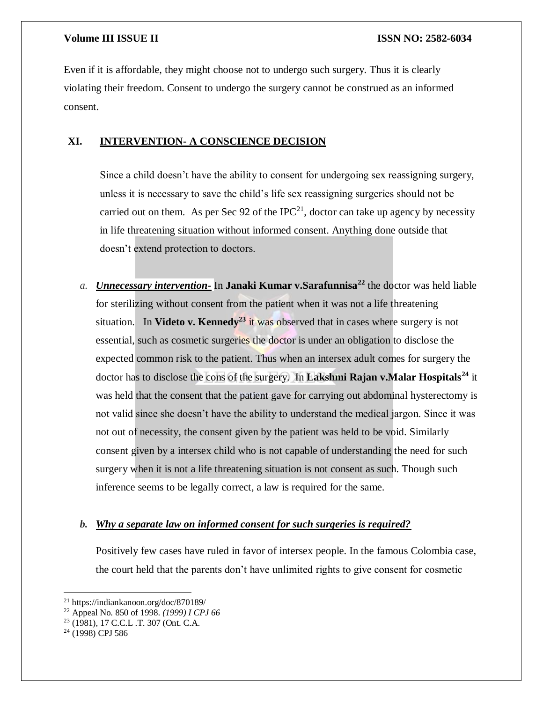Even if it is affordable, they might choose not to undergo such surgery. Thus it is clearly violating their freedom. Consent to undergo the surgery cannot be construed as an informed consent.

### **XI. INTERVENTION- A CONSCIENCE DECISION**

Since a child doesn't have the ability to consent for undergoing sex reassigning surgery, unless it is necessary to save the child's life sex reassigning surgeries should not be carried out on them. As per Sec 92 of the IPC<sup>21</sup>, doctor can take up agency by necessity in life threatening situation without informed consent. Anything done outside that doesn't extend protection to doctors.

*a. Unnecessary intervention-* In **Janaki Kumar v.Sarafunnisa<sup>22</sup>** the doctor was held liable for sterilizing without consent from the patient when it was not a life threatening situation. In **Videto v. Kennedy<sup>23</sup>** it was observed that in cases where surgery is not essential, such as cosmetic surgeries the doctor is under an obligation to disclose the expected common risk to the patient. Thus when an intersex adult comes for surgery the doctor has to disclose the cons of the surgery. In **Lakshmi Rajan v.Malar Hospitals<sup>24</sup>** it was held that the consent that the patient gave for carrying out abdominal hysterectomy is not valid since she doesn't have the ability to understand the medical jargon. Since it was not out of necessity, the consent given by the patient was held to be void. Similarly consent given by a intersex child who is not capable of understanding the need for such surgery when it is not a life threatening situation is not consent as such. Though such inference seems to be legally correct, a law is required for the same.

### *b. Why a separate law on informed consent for such surgeries is required?*

Positively few cases have ruled in favor of intersex people. In the famous Colombia case, the court held that the parents don't have unlimited rights to give consent for cosmetic

 $\overline{a}$ <sup>21</sup> https://indiankanoon.org/doc/870189/

<sup>22</sup> Appeal No. 850 of 1998. *(1999) I CPJ 66*

<sup>23</sup> (1981), 17 C.C.L .T. 307 (Ont. C.A.

<sup>24</sup> (1998) CPJ 586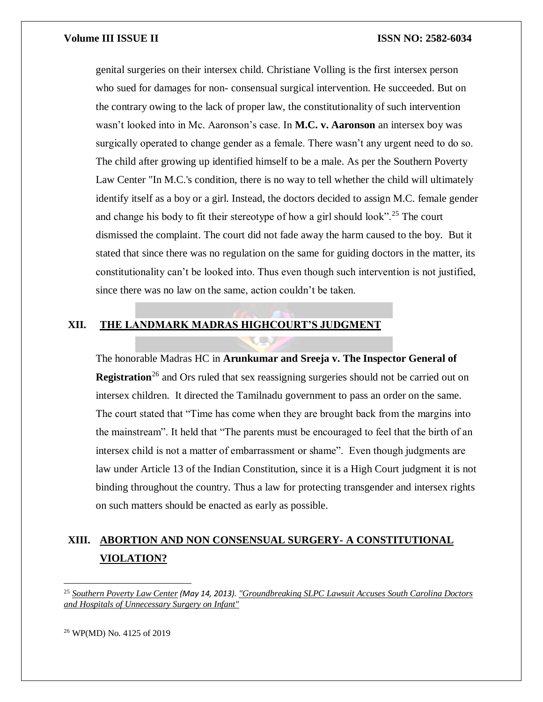genital surgeries on their intersex child. Christiane Volling is the first intersex person who sued for damages for non- consensual surgical intervention. He succeeded. But on the contrary owing to the lack of proper law, the constitutionality of such intervention wasn't looked into in Mc. Aaronson's case. In **M.C. v. Aaronson** an intersex boy was surgically operated to change gender as a female. There wasn't any urgent need to do so. The child after growing up identified himself to be a male. As per the Southern Poverty Law Center "In M.C.'s condition, there is no way to tell whether the child will ultimately identify itself as a boy or a girl. Instead, the doctors decided to assign M.C. female gender and change his body to fit their stereotype of how a girl should look".<sup>25</sup> The court dismissed the complaint. The court did not fade away the harm caused to the boy. But it stated that since there was no regulation on the same for guiding doctors in the matter, its constitutionality can't be looked into. Thus even though such intervention is not justified, since there was no law on the same, action couldn't be taken.

### **XII. THE LANDMARK MADRAS HIGHCOURT'S JUDGMENT**

**COU** 

The honorable Madras HC in **Arunkumar and Sreeja v. The Inspector General of Registration**<sup>26</sup> and Ors ruled that sex reassigning surgeries should not be carried out on intersex children. It directed the Tamilnadu government to pass an order on the same. The court stated that "Time has come when they are brought back from the margins into the mainstream". It held that "The parents must be encouraged to feel that the birth of an intersex child is not a matter of embarrassment or shame". Even though judgments are law under Article 13 of the Indian Constitution, since it is a High Court judgment it is not binding throughout the country. Thus a law for protecting transgender and intersex rights on such matters should be enacted as early as possible.

## **XIII. ABORTION AND NON CONSENSUAL SURGERY- A CONSTITUTIONAL VIOLATION?**

<sup>26</sup> WP(MD) No. 4125 of 2019

<sup>25</sup> *[Southern Poverty Law Center](https://en.wikipedia.org/wiki/Southern_Poverty_Law_Center) (May 14, 2013). ["Groundbreaking SLPC Lawsuit Accuses South Carolina Doctors](http://www.splcenter.org/get-informed/news/groundbreaking-splc-lawsuit-accuses-south-carolina-doctors-and-hospitals-of-unnece)  [and Hospitals of Unnecessary Surgery on Infant"](http://www.splcenter.org/get-informed/news/groundbreaking-splc-lawsuit-accuses-south-carolina-doctors-and-hospitals-of-unnece)*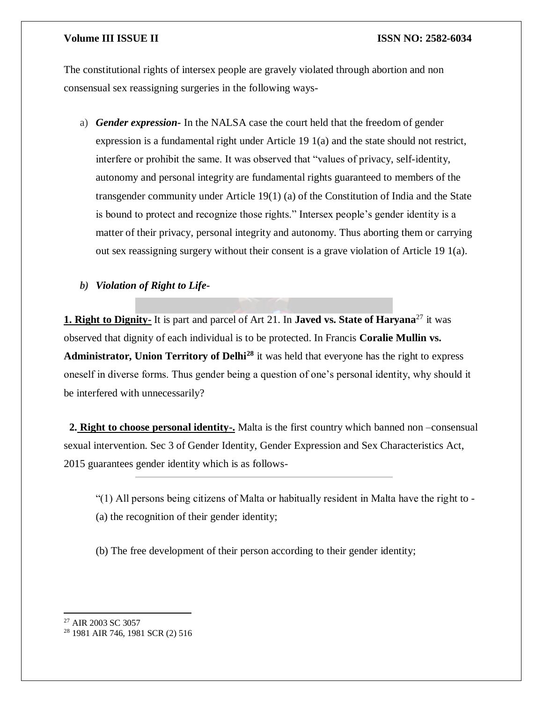The constitutional rights of intersex people are gravely violated through abortion and non consensual sex reassigning surgeries in the following ways-

a) *Gender expression-* In the NALSA case the court held that the freedom of gender expression is a fundamental right under Article 19 1(a) and the state should not restrict, interfere or prohibit the same. It was observed that "values of privacy, self-identity, autonomy and personal integrity are fundamental rights guaranteed to members of the transgender community under Article 19(1) (a) of the Constitution of India and the State is bound to protect and recognize those rights." Intersex people's gender identity is a matter of their privacy, personal integrity and autonomy. Thus aborting them or carrying out sex reassigning surgery without their consent is a grave violation of Article 19 1(a).

### *b) Violation of Right to Life-*

**1. Right to Dignity-** It is part and parcel of Art 21. In **Javed vs. State of Haryana**<sup>27</sup> it was observed that dignity of each individual is to be protected. In Francis **Coralie Mullin vs. Administrator, Union Territory of Delhi<sup>28</sup>** it was held that everyone has the right to express oneself in diverse forms. Thus gender being a question of one's personal identity, why should it be interfered with unnecessarily?

 **2. Right to choose personal identity-.** Malta is the first country which banned non –consensual sexual intervention. Sec 3 of Gender Identity, Gender Expression and Sex Characteristics Act, 2015 guarantees gender identity which is as follows-

- "(1) All persons being citizens of Malta or habitually resident in Malta have the right to (a) the recognition of their gender identity;
- (b) The free development of their person according to their gender identity;

 $\overline{\phantom{a}}$ 

<sup>27</sup> AIR 2003 SC 3057

<sup>28</sup> 1981 AIR 746, 1981 SCR (2) 516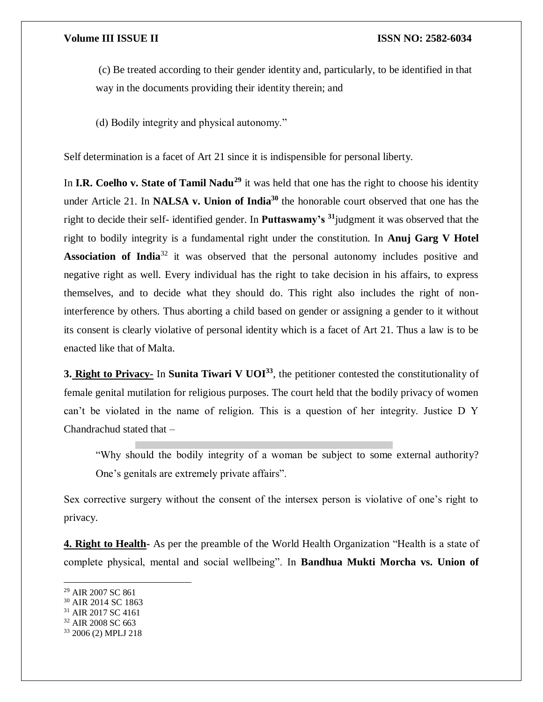(c) Be treated according to their gender identity and, particularly, to be identified in that way in the documents providing their identity therein; and

(d) Bodily integrity and physical autonomy."

Self determination is a facet of Art 21 since it is indispensible for personal liberty.

In **I.R. Coelho v. State of Tamil Nadu<sup>29</sup>** it was held that one has the right to choose his identity under Article 21. In **NALSA v. Union of India**<sup>30</sup> the honorable court observed that one has the right to decide their self- identified gender. In **Puttaswamy's <sup>31</sup>**judgment it was observed that the right to bodily integrity is a fundamental right under the constitution. In **Anuj Garg V Hotel Association of India**<sup>32</sup> it was observed that the personal autonomy includes positive and negative right as well. Every individual has the right to take decision in his affairs, to express themselves, and to decide what they should do. This right also includes the right of noninterference by others. Thus aborting a child based on gender or assigning a gender to it without its consent is clearly violative of personal identity which is a facet of Art 21. Thus a law is to be enacted like that of Malta.

**3. Right to Privacy-** In **Sunita Tiwari V UOI<sup>33</sup>**, the petitioner contested the constitutionality of female genital mutilation for religious purposes. The court held that the bodily privacy of women can't be violated in the name of religion. This is a question of her integrity. Justice D Y Chandrachud stated that –

"Why should the bodily integrity of a woman be subject to some external authority? One's genitals are extremely private affairs".

Sex corrective surgery without the consent of the intersex person is violative of one's right to privacy.

**4. Right to Health-** As per the preamble of the World Health Organization "Health is a state of complete physical, mental and social wellbeing". In **Bandhua Mukti Morcha vs. Union of** 

 $\overline{\phantom{a}}$ 

<sup>29</sup> AIR 2007 SC 861

<sup>30</sup> AIR 2014 SC 1863

 $31$  AIR 2017 SC 4161

<sup>32</sup> AIR 2008 SC 663

<sup>33</sup> 2006 (2) MPLJ 218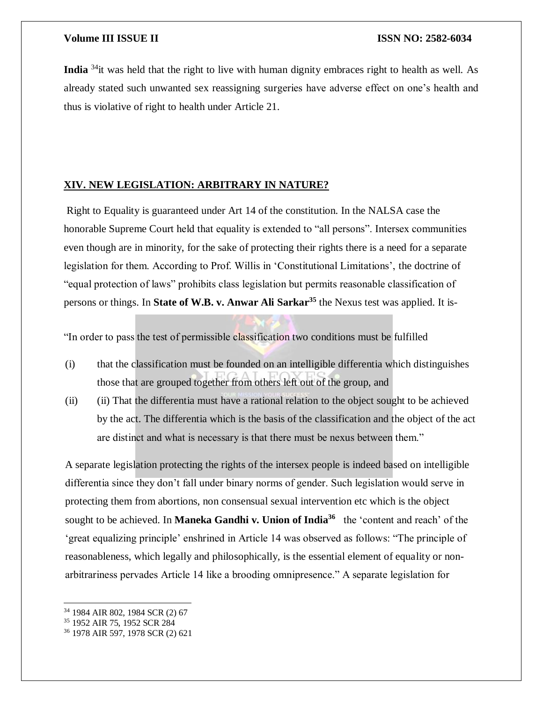**India** <sup>34</sup><sub>it</sub> was held that the right to live with human dignity embraces right to health as well. As already stated such unwanted sex reassigning surgeries have adverse effect on one's health and thus is violative of right to health under Article 21.

#### **XIV. NEW LEGISLATION: ARBITRARY IN NATURE?**

Right to Equality is guaranteed under Art 14 of the constitution. In the NALSA case the honorable Supreme Court held that equality is extended to "all persons". Intersex communities even though are in minority, for the sake of protecting their rights there is a need for a separate legislation for them. According to Prof. Willis in 'Constitutional Limitations', the doctrine of "equal protection of laws" prohibits class legislation but permits reasonable classification of persons or things. In **State of W.B. v. Anwar Ali Sarkar<sup>35</sup>** the Nexus test was applied. It is-

"In order to pass the test of permissible classification two conditions must be fulfilled

- (i) that the classification must be founded on an intelligible differentia which distinguishes those that are grouped together from others left out of the group, and
- (ii) (ii) That the differentia must have a rational relation to the object sought to be achieved by the act. The differentia which is the basis of the classification and the object of the act are distinct and what is necessary is that there must be nexus between them."

A separate legislation protecting the rights of the intersex people is indeed based on intelligible differentia since they don't fall under binary norms of gender. Such legislation would serve in protecting them from abortions, non consensual sexual intervention etc which is the object sought to be achieved. In **Maneka Gandhi v. Union of India<sup>36</sup>** the 'content and reach' of the 'great equalizing principle' enshrined in Article 14 was observed as follows: "The principle of reasonableness, which legally and philosophically, is the essential element of equality or nonarbitrariness pervades Article 14 like a brooding omnipresence." A separate legislation for

<sup>34</sup> 1984 AIR 802, 1984 SCR (2) 67

<sup>35</sup> 1952 AIR 75, 1952 SCR 284

<sup>36</sup> 1978 AIR 597, 1978 SCR (2) 621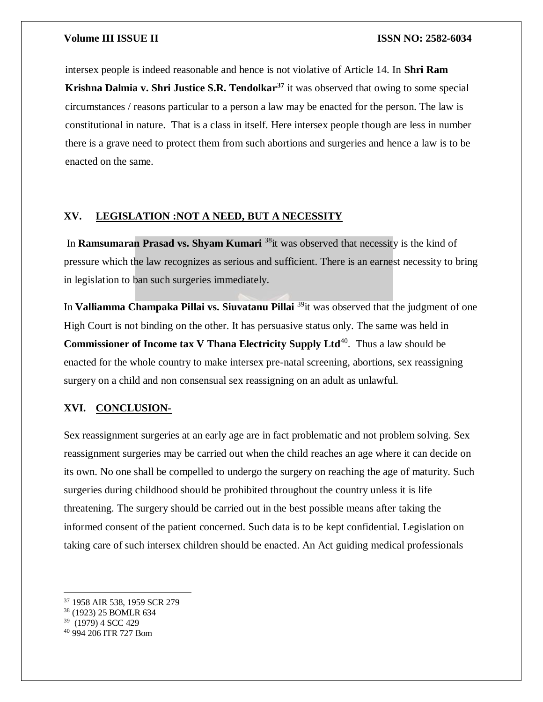intersex people is indeed reasonable and hence is not violative of Article 14. In **Shri Ram Krishna Dalmia v. Shri Justice S.R. Tendolkar<sup>37</sup>** it was observed that owing to some special circumstances / reasons particular to a person a law may be enacted for the person. The law is constitutional in nature. That is a class in itself. Here intersex people though are less in number there is a grave need to protect them from such abortions and surgeries and hence a law is to be enacted on the same.

#### **XV. LEGISLATION :NOT A NEED, BUT A NECESSITY**

In **Ramsumaran Prasad vs. Shyam Kumari** <sup>38</sup>it was observed that necessity is the kind of pressure which the law recognizes as serious and sufficient. There is an earnest necessity to bring in legislation to ban such surgeries immediately.

In **Valliamma Champaka Pillai vs. Siuvatanu Pillai** <sup>39</sup> it was observed that the judgment of one High Court is not binding on the other. It has persuasive status only. The same was held in **Commissioner of Income tax V Thana Electricity Supply Ltd<sup>40</sup>. Thus a law should be** enacted for the whole country to make intersex pre-natal screening, abortions, sex reassigning surgery on a child and non consensual sex reassigning on an adult as unlawful.

#### **XVI. CONCLUSION-**

Sex reassignment surgeries at an early age are in fact problematic and not problem solving. Sex reassignment surgeries may be carried out when the child reaches an age where it can decide on its own. No one shall be compelled to undergo the surgery on reaching the age of maturity. Such surgeries during childhood should be prohibited throughout the country unless it is life threatening. The surgery should be carried out in the best possible means after taking the informed consent of the patient concerned. Such data is to be kept confidential. Legislation on taking care of such intersex children should be enacted. An Act guiding medical professionals

<sup>39</sup> (1979) 4 SCC 429

<sup>37</sup> 1958 AIR 538, 1959 SCR 279

<sup>38</sup> (1923) 25 BOMLR 634

<sup>40</sup> 994 206 ITR 727 Bom